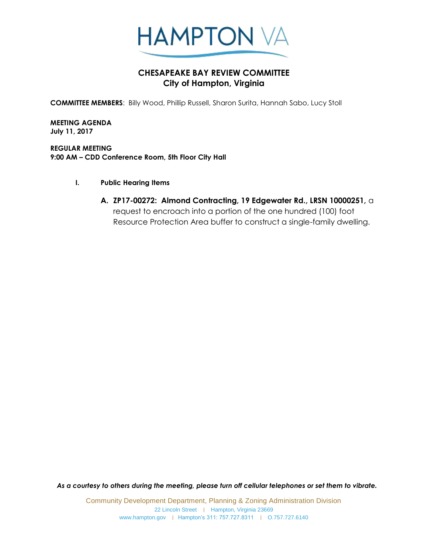

## **CHESAPEAKE BAY REVIEW COMMITTEE City of Hampton, Virginia**

**COMMITTEE MEMBERS**: Billy Wood, Phillip Russell, Sharon Surita, Hannah Sabo, Lucy Stoll

**MEETING AGENDA July 11, 2017**

**REGULAR MEETING 9:00 AM – CDD Conference Room, 5th Floor City Hall**

- **I. Public Hearing Items** 
	- **A. ZP17-00272: Almond Contracting, 19 Edgewater Rd., LRSN 10000251,** a request to encroach into a portion of the one hundred (100) foot Resource Protection Area buffer to construct a single-family dwelling.

*As a courtesy to others during the meeting, please turn off cellular telephones or set them to vibrate.*

Community Development Department, Planning & Zoning Administration Division 22 Lincoln Street | Hampton, Virginia 23669 www.hampton.gov | Hampton's 311: 757.727.8311 | O.757.727.6140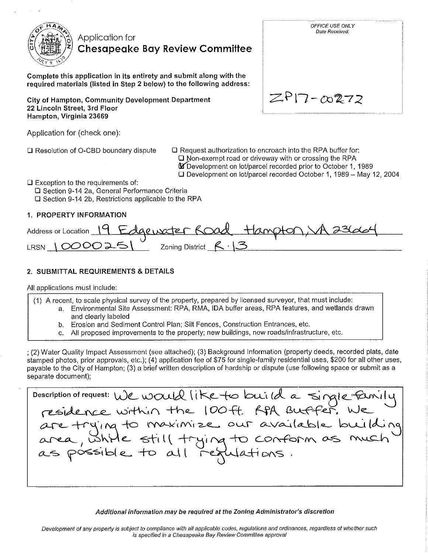

## Application for **Chesapeake Bay Review Committee**

Complete this application in its entirety and submit along with the required materials (listed in Step 2 below) to the following address:

City of Hampton, Community Development Department 22 Lincoln Street, 3rd Floor Hampton, Virginia 23669

| $ZPI7-\infty272$ |
|------------------|
|                  |

OFFICE USE ONLY Date Received:

Application for (check one):

□ Resolution of O-CBD boundary dispute

□ Request authorization to encroach into the RPA buffer for:

□ Non-exempt road or driveway with or crossing the RPA

**M** Development on lot/parcel recorded prior to October 1, 1989 □ Development on lot/parcel recorded October 1, 1989 - May 12, 2004

 $\square$  Exception to the requirements of:

□ Section 9-14 2a, General Performance Criteria □ Section 9-14 2b, Restrictions applicable to the RPA

## 1. PROPERTY INFORMATION

| Address or Location 19 Edgewater Road Hampton A 23664 |                             |  |
|-------------------------------------------------------|-----------------------------|--|
| LRSN $10000251$                                       | Zoning District $R \cdot S$ |  |

## 2. SUBMITTAL REQUIREMENTS & DETAILS

All applications must include:

(1) A recent, to scale physical survey of the property, prepared by licensed surveyor, that must include: a. Environmental Site Assessment: RPA, RMA, IDA buffer areas, RPA features, and wetlands drawn and clearly labeled

- b. Erosion and Sediment Control Plan: Silt Fences, Construction Entrances, etc.
- c. All proposed improvements to the property: new buildings, new roads/infrastructure, etc.

; (2) Water Quality Impact Assessment (see attached); (3) Background Information (property deeds, recorded plats, date stamped photos, prior approvals, etc.); (4) application fee of \$75 for single-family residential uses, \$200 for all other uses, payable to the City of Hampton; (3) a brief written description of hardship or dispute (use following space or submit as a separate document);

Description of request: We would like to build a single for<br>residence within the 100ft APA Buffer. We<br>are trying to maximize our available buil<br>area, while still trying to conform as mu Wations. possible to all i

### Additional information may be required at the Zoning Administrator's discretion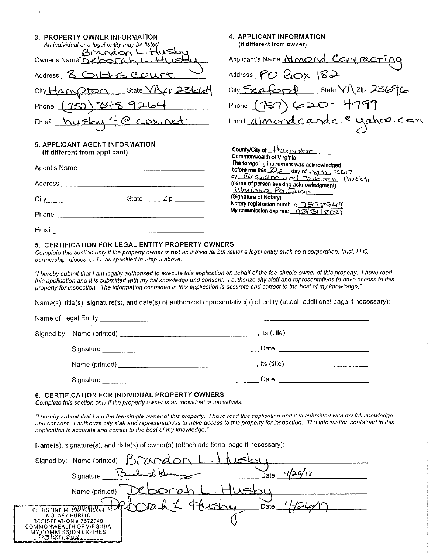| 3. PROPERTY OWNER INFORMATION<br>An individual or a legal entity may be listed | 4. APPLICANT INFORMATION<br>(if different from owner)                                        |
|--------------------------------------------------------------------------------|----------------------------------------------------------------------------------------------|
| Brandon L. Husby<br>Owner's Name Deborah L. Husbu                              | Applicant's Name Almond Contracting                                                          |
| Address 8 GIDOS COUTT                                                          | Address $PO$ $Box$ $182$                                                                     |
| City Hampton State YAZip 23661                                                 | City Seaford State YAZip 23696                                                               |
| Phone (75) 848.9264                                                            | Phone (157) 620-4799                                                                         |
| Email husby 4 @ cox.net                                                        | Email almond cande en yahou. com                                                             |
| 5. APPLICANT AGENT INFORMATION<br>(if different from applicant)                | County/City of Hampton<br>Commonwealth of Virginia                                           |
|                                                                                | The foregoing instrument was acknowledged<br>before me this ZLe day of April, 2017           |
|                                                                                | by Grandon and Departure Husby<br>(name of person seeking acknowledgment)<br>Christo Parters |
|                                                                                | (Signature of Notary)<br>Notary registration number: 1572949                                 |
|                                                                                | My commission expires: 03/31 2021                                                            |
|                                                                                |                                                                                              |
| <b>C. CEDTICLATION COD LEGAL ENTITY DDODEDTY OWNERS</b>                        |                                                                                              |

#### 5. CERTIFICATION FOR LEGAL ENTITY PROPERTY OWNERS Complete this section only if the property owner is not an individual but rather a legal entity such as a corporation, trust, LLC,

partnership, diocese, etc. as specified in Step 3 above.

"I hereby submit that I am legally authorized to execute this application on behalf of the fee-simple owner of this property. I have read this application and it is submitted with my full knowledge and consent. I authorize city staff and representatives to have access to this property for inspection. The information contained in this application is accurate and correct to the best of my knowledge."

Name(s), title(s), signature(s), and date(s) of authorized representative(s) of entity (attach additional page if necessary):

| Name of Legal Entity _________________________ |                                       |
|------------------------------------------------|---------------------------------------|
|                                                | lts (title) ______________________    |
| Signature                                      | Date                                  |
| Name (printed) ______________                  | . Its (title) _______________________ |
| Signature                                      | Date                                  |

#### 6. CERTIFICATION FOR INDIVIDUAL PROPERTY OWNERS

 $\sim 10^{11}$  km  $^{-1}$ 

 $\mathbb{R}^2$ 

 $\mu$  .

Complete this section only if the property owner is an individual or individuals.

"I hereby submit that I am the fee-simple owner of this property. I have read this application and it is submitted with my full knowledge and consent. I authorize city staff and representatives to have access to this property for inspection. The information contained in this application is accurate and correct to the best of my knowledge."

Name(s), signature(s), and date(s) of owner(s) (attach additional page if necessary):

| Signed by: Name (printed) Brand on                                   |                 |
|----------------------------------------------------------------------|-----------------|
| Signature                                                            | 4/26/17<br>Date |
| Name (printed)                                                       |                 |
|                                                                      | Date            |
| CHRISTINE M. PAPPEI<br>NOTARY PUBLIC<br><b>REGISTRATION #7572949</b> |                 |
| COMMONWEALTH OF VIRGINIA<br><b>MY COMMISSION EXPIRES</b><br>2021     |                 |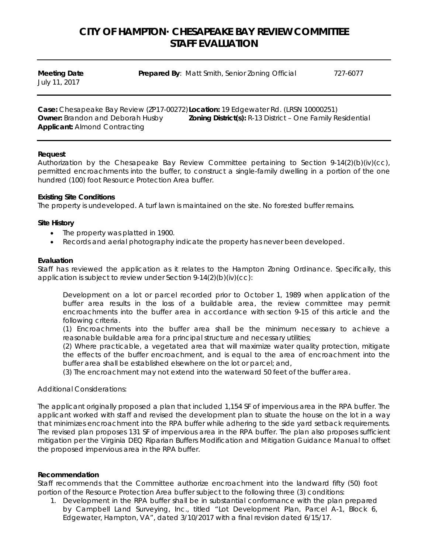# **CITY OF HAMPTON· CHESAPEAKE BAY REVIEW COMMITTEE STAFF EVALUATION**

| <b>Meeting Date</b> | <b>Prepared By: Matt Smith, Senior Zoning Official</b> | 727-6077 |
|---------------------|--------------------------------------------------------|----------|
| July 11, 2017       |                                                        |          |

**Case:** Chesapeake Bay Review (ZP17-00272)**Location:** 19 Edgewater Rd. (LRSN 10000251) **Owner:** Brandon and Deborah Husby **Zoning District(s):** R-13 District – One Family Residential **Applicant:** Almond Contracting

#### **Request**

Authorization by the Chesapeake Bay Review Committee pertaining to Section 9-14(2)(b)(iv)(cc), permitted encroachments into the buffer, to construct a single-family dwelling in a portion of the one hundred (100) foot Resource Protection Area buffer.

### **Existing Site Conditions**

The property is undeveloped. A turf lawn is maintained on the site. No forested buffer remains.

#### **Site History**

- The property was platted in 1900.
- Records and aerial photography indicate the property has never been developed.

#### **Evaluation**

Staff has reviewed the application as it relates to the Hampton Zoning Ordinance. Specifically, this application is subject to review under Section 9-14(2)(b)(iv)(cc):

Development on a lot or parcel recorded prior to October 1, 1989 when application of the buffer area results in the loss of a buildable area, the review committee may permit encroachments into the buffer area in accordance with section 9-15 of this article and the following criteria.

(1) Encroachments into the buffer area shall be the minimum necessary to achieve a reasonable buildable area for a principal structure and necessary utilities;

(2) Where practicable, a vegetated area that will maximize water quality protection, mitigate the effects of the buffer encroachment, and is equal to the area of encroachment into the buffer area shall be established elsewhere on the lot or parcel; and,

(3) The encroachment may not extend into the waterward 50 feet of the buffer area.

#### Additional Considerations:

The applicant originally proposed a plan that included 1,154 SF of impervious area in the RPA buffer. The applicant worked with staff and revised the development plan to situate the house on the lot in a way that minimizes encroachment into the RPA buffer while adhering to the side yard setback requirements. The revised plan proposes 131 SF of impervious area in the RPA buffer. The plan also proposes sufficient mitigation per the Virginia DEQ Riparian Buffers Modification and Mitigation Guidance Manual to offset the proposed impervious area in the RPA buffer.

### **Recommendation**

Staff recommends that the Committee authorize encroachment into the landward fifty (50) foot portion of the Resource Protection Area buffer subject to the following three (3) conditions:

1. Development in the RPA buffer shall be in substantial conformance with the plan prepared by Campbell Land Surveying, Inc., titled "Lot Development Plan, Parcel A-1, Block 6, Edgewater, Hampton, VA", dated 3/10/2017 with a final revision dated 6/15/17.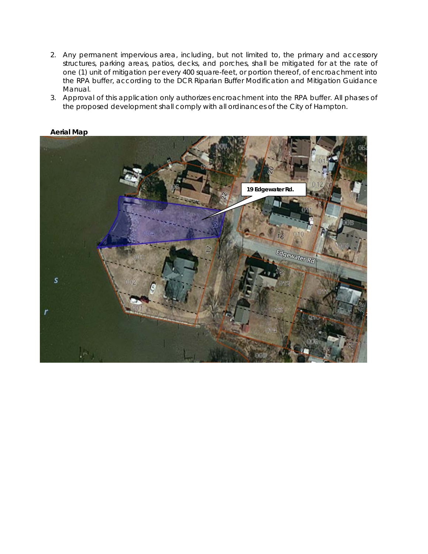- 2. Any permanent impervious area, including, but not limited to, the primary and accessory structures, parking areas, patios, decks, and porches, shall be mitigated for at the rate of one (1) unit of mitigation per every 400 square-feet, or portion thereof, of encroachment into the RPA buffer, according to the DCR Riparian Buffer Modification and Mitigation Guidance Manual.
- 3. Approval of this application only authorizes encroachment into the RPA buffer. All phases of the proposed development shall comply with all ordinances of the City of Hampton.



### **Aerial Map**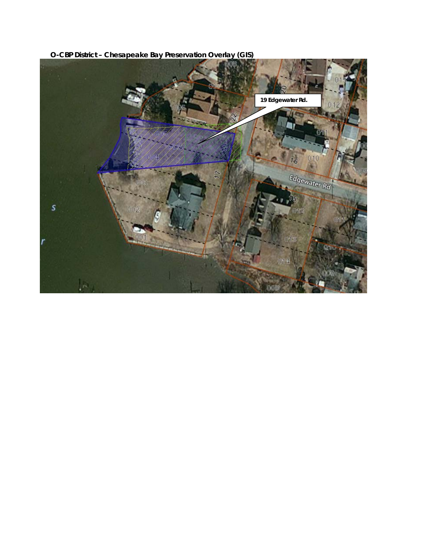

**O-CBP District – Chesapeake Bay Preservation Overlay (GIS)**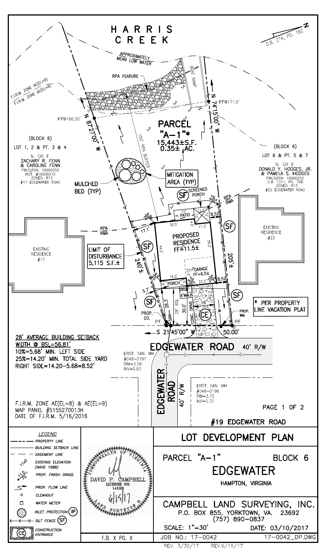